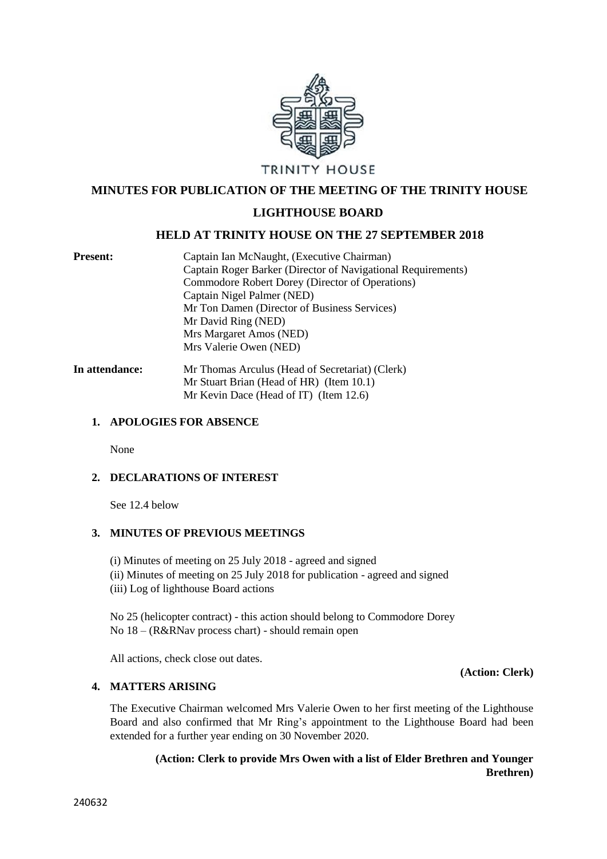

## **MINUTES FOR PUBLICATION OF THE MEETING OF THE TRINITY HOUSE**

### **LIGHTHOUSE BOARD**

### **HELD AT TRINITY HOUSE ON THE 27 SEPTEMBER 2018**

| <b>Present:</b> | Captain Ian McNaught, (Executive Chairman)                   |
|-----------------|--------------------------------------------------------------|
|                 | Captain Roger Barker (Director of Navigational Requirements) |
|                 | Commodore Robert Dorey (Director of Operations)              |
|                 | Captain Nigel Palmer (NED)                                   |
|                 | Mr Ton Damen (Director of Business Services)                 |
|                 | Mr David Ring (NED)                                          |
|                 | Mrs Margaret Amos (NED)                                      |
|                 | Mrs Valerie Owen (NED)                                       |
| In attendance:  | Mr Thomas Arculus (Head of Secretariat) (Clerk)              |
|                 | Mr Stuart Brian (Head of HR) (Item 10.1)                     |

Mr Kevin Dace (Head of IT) (Item 12.6)

#### **1. APOLOGIES FOR ABSENCE**

None

### **2. DECLARATIONS OF INTEREST**

See 12.4 below

#### **3. MINUTES OF PREVIOUS MEETINGS**

(i) Minutes of meeting on 25 July 2018 - agreed and signed (ii) Minutes of meeting on 25 July 2018 for publication - agreed and signed (iii) Log of lighthouse Board actions

No 25 (helicopter contract) - this action should belong to Commodore Dorey No 18 – (R&RNav process chart) - should remain open

All actions, check close out dates.

## **4. MATTERS ARISING**

The Executive Chairman welcomed Mrs Valerie Owen to her first meeting of the Lighthouse Board and also confirmed that Mr Ring's appointment to the Lighthouse Board had been extended for a further year ending on 30 November 2020.

# **(Action: Clerk to provide Mrs Owen with a list of Elder Brethren and Younger Brethren)**

**(Action: Clerk)**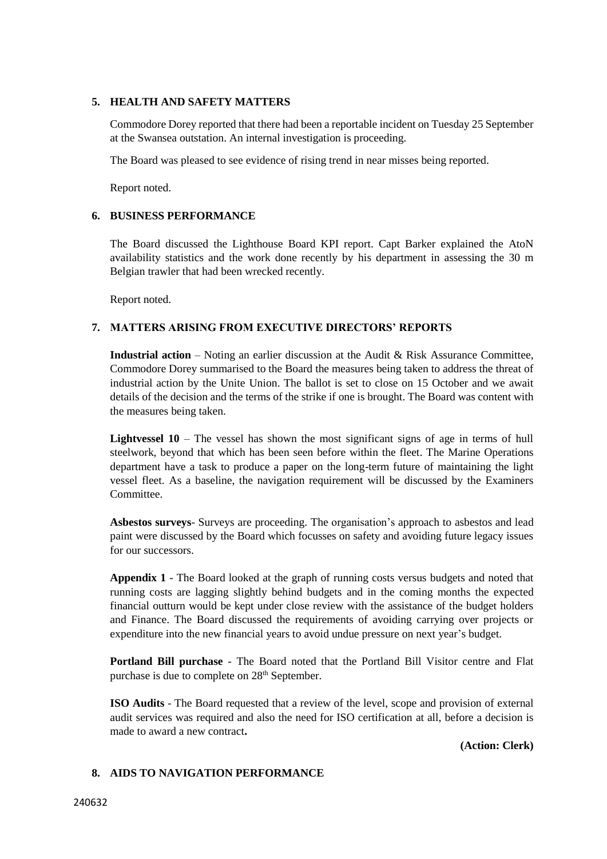### **5. HEALTH AND SAFETY MATTERS**

Commodore Dorey reported that there had been a reportable incident on Tuesday 25 September at the Swansea outstation. An internal investigation is proceeding.

The Board was pleased to see evidence of rising trend in near misses being reported.

Report noted.

### **6. BUSINESS PERFORMANCE**

The Board discussed the Lighthouse Board KPI report. Capt Barker explained the AtoN availability statistics and the work done recently by his department in assessing the 30 m Belgian trawler that had been wrecked recently.

Report noted.

### **7. MATTERS ARISING FROM EXECUTIVE DIRECTORS' REPORTS**

**Industrial action** – Noting an earlier discussion at the Audit & Risk Assurance Committee, Commodore Dorey summarised to the Board the measures being taken to address the threat of industrial action by the Unite Union. The ballot is set to close on 15 October and we await details of the decision and the terms of the strike if one is brought. The Board was content with the measures being taken.

Lightvessel 10 – The vessel has shown the most significant signs of age in terms of hull steelwork, beyond that which has been seen before within the fleet. The Marine Operations department have a task to produce a paper on the long-term future of maintaining the light vessel fleet. As a baseline, the navigation requirement will be discussed by the Examiners Committee.

**Asbestos surveys**- Surveys are proceeding. The organisation's approach to asbestos and lead paint were discussed by the Board which focusses on safety and avoiding future legacy issues for our successors.

**Appendix 1** - The Board looked at the graph of running costs versus budgets and noted that running costs are lagging slightly behind budgets and in the coming months the expected financial outturn would be kept under close review with the assistance of the budget holders and Finance. The Board discussed the requirements of avoiding carrying over projects or expenditure into the new financial years to avoid undue pressure on next year's budget.

**Portland Bill purchase** - The Board noted that the Portland Bill Visitor centre and Flat purchase is due to complete on 28<sup>th</sup> September.

**ISO Audits** - The Board requested that a review of the level, scope and provision of external audit services was required and also the need for ISO certification at all, before a decision is made to award a new contract**.** 

**(Action: Clerk)**

### **8. AIDS TO NAVIGATION PERFORMANCE**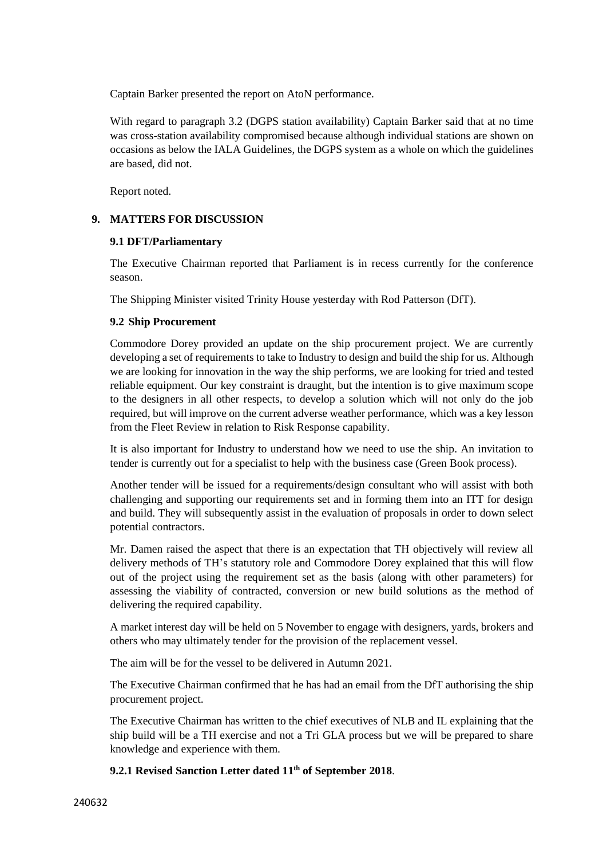Captain Barker presented the report on AtoN performance.

With regard to paragraph 3.2 (DGPS station availability) Captain Barker said that at no time was cross-station availability compromised because although individual stations are shown on occasions as below the IALA Guidelines, the DGPS system as a whole on which the guidelines are based, did not.

Report noted.

## **9. MATTERS FOR DISCUSSION**

### **9.1 DFT/Parliamentary**

The Executive Chairman reported that Parliament is in recess currently for the conference season.

The Shipping Minister visited Trinity House yesterday with Rod Patterson (DfT).

### **9.2 Ship Procurement**

Commodore Dorey provided an update on the ship procurement project. We are currently developing a set of requirements to take to Industry to design and build the ship for us. Although we are looking for innovation in the way the ship performs, we are looking for tried and tested reliable equipment. Our key constraint is draught, but the intention is to give maximum scope to the designers in all other respects, to develop a solution which will not only do the job required, but will improve on the current adverse weather performance, which was a key lesson from the Fleet Review in relation to Risk Response capability.

It is also important for Industry to understand how we need to use the ship. An invitation to tender is currently out for a specialist to help with the business case (Green Book process).

Another tender will be issued for a requirements/design consultant who will assist with both challenging and supporting our requirements set and in forming them into an ITT for design and build. They will subsequently assist in the evaluation of proposals in order to down select potential contractors.

Mr. Damen raised the aspect that there is an expectation that TH objectively will review all delivery methods of TH's statutory role and Commodore Dorey explained that this will flow out of the project using the requirement set as the basis (along with other parameters) for assessing the viability of contracted, conversion or new build solutions as the method of delivering the required capability.

A market interest day will be held on 5 November to engage with designers, yards, brokers and others who may ultimately tender for the provision of the replacement vessel.

The aim will be for the vessel to be delivered in Autumn 2021.

The Executive Chairman confirmed that he has had an email from the DfT authorising the ship procurement project.

The Executive Chairman has written to the chief executives of NLB and IL explaining that the ship build will be a TH exercise and not a Tri GLA process but we will be prepared to share knowledge and experience with them.

## **9.2.1 Revised Sanction Letter dated 11th of September 2018**.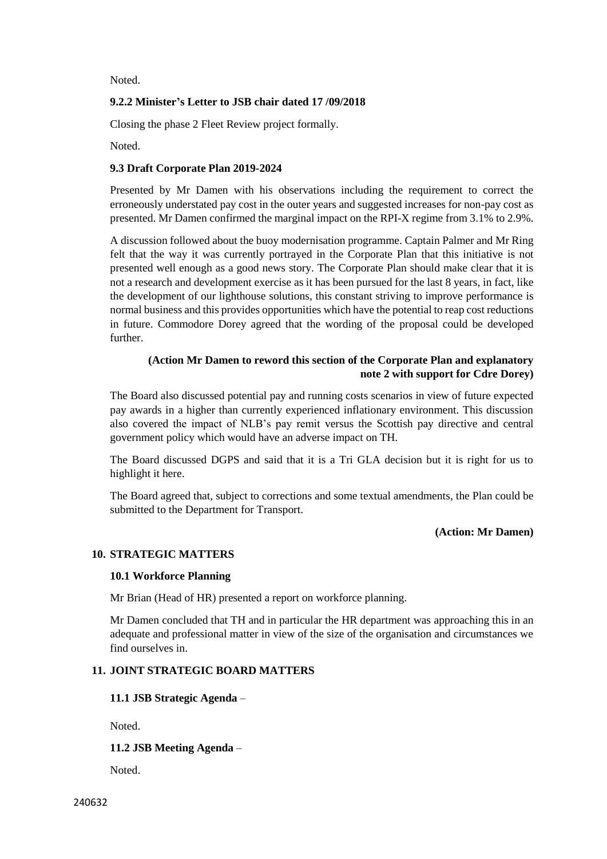Noted.

### **9.2.2 Minister's Letter to JSB chair dated 17 /09/2018**

Closing the phase 2 Fleet Review project formally.

Noted.

### **9.3 Draft Corporate Plan 2019-2024**

Presented by Mr Damen with his observations including the requirement to correct the erroneously understated pay cost in the outer years and suggested increases for non-pay cost as presented. Mr Damen confirmed the marginal impact on the RPI-X regime from 3.1% to 2.9%.

A discussion followed about the buoy modernisation programme. Captain Palmer and Mr Ring felt that the way it was currently portrayed in the Corporate Plan that this initiative is not presented well enough as a good news story. The Corporate Plan should make clear that it is not a research and development exercise as it has been pursued for the last 8 years, in fact, like the development of our lighthouse solutions, this constant striving to improve performance is normal business and this provides opportunities which have the potential to reap cost reductions in future. Commodore Dorey agreed that the wording of the proposal could be developed further.

## **(Action Mr Damen to reword this section of the Corporate Plan and explanatory note 2 with support for Cdre Dorey)**

The Board also discussed potential pay and running costs scenarios in view of future expected pay awards in a higher than currently experienced inflationary environment. This discussion also covered the impact of NLB's pay remit versus the Scottish pay directive and central government policy which would have an adverse impact on TH.

The Board discussed DGPS and said that it is a Tri GLA decision but it is right for us to highlight it here.

The Board agreed that, subject to corrections and some textual amendments, the Plan could be submitted to the Department for Transport.

### **(Action: Mr Damen)**

### **10. STRATEGIC MATTERS**

### **10.1 Workforce Planning**

Mr Brian (Head of HR) presented a report on workforce planning.

Mr Damen concluded that TH and in particular the HR department was approaching this in an adequate and professional matter in view of the size of the organisation and circumstances we find ourselves in.

### **11. JOINT STRATEGIC BOARD MATTERS**

### **11.1 JSB Strategic Agenda** –

Noted.

**11.2 JSB Meeting Agenda** –

Noted.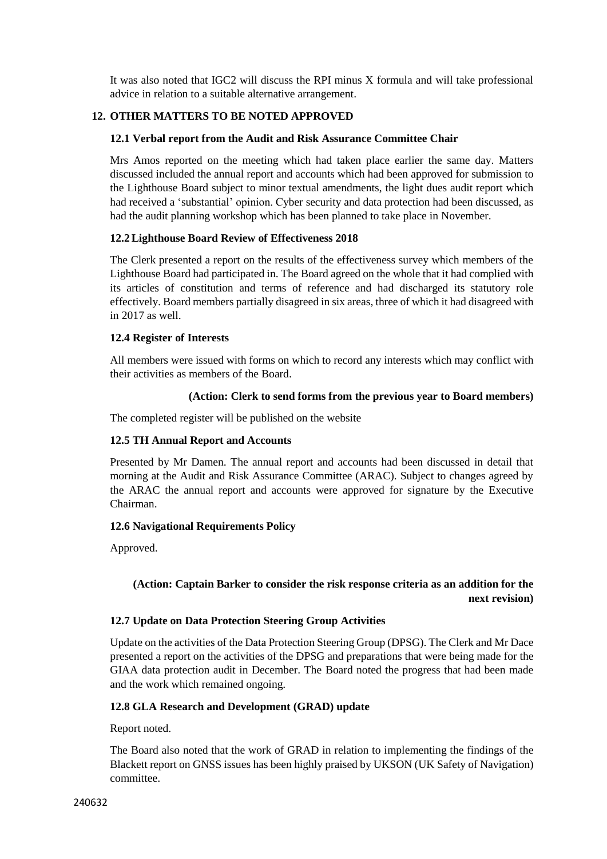It was also noted that IGC2 will discuss the RPI minus X formula and will take professional advice in relation to a suitable alternative arrangement.

## **12. OTHER MATTERS TO BE NOTED APPROVED**

#### **12.1 Verbal report from the Audit and Risk Assurance Committee Chair**

Mrs Amos reported on the meeting which had taken place earlier the same day. Matters discussed included the annual report and accounts which had been approved for submission to the Lighthouse Board subject to minor textual amendments, the light dues audit report which had received a 'substantial' opinion. Cyber security and data protection had been discussed, as had the audit planning workshop which has been planned to take place in November.

#### **12.2Lighthouse Board Review of Effectiveness 2018**

The Clerk presented a report on the results of the effectiveness survey which members of the Lighthouse Board had participated in. The Board agreed on the whole that it had complied with its articles of constitution and terms of reference and had discharged its statutory role effectively. Board members partially disagreed in six areas, three of which it had disagreed with in 2017 as well.

#### **12.4 Register of Interests**

All members were issued with forms on which to record any interests which may conflict with their activities as members of the Board.

### **(Action: Clerk to send forms from the previous year to Board members)**

The completed register will be published on the website

### **12.5 TH Annual Report and Accounts**

Presented by Mr Damen. The annual report and accounts had been discussed in detail that morning at the Audit and Risk Assurance Committee (ARAC). Subject to changes agreed by the ARAC the annual report and accounts were approved for signature by the Executive Chairman.

### **12.6 Navigational Requirements Policy**

Approved.

# **(Action: Captain Barker to consider the risk response criteria as an addition for the next revision)**

### **12.7 Update on Data Protection Steering Group Activities**

Update on the activities of the Data Protection Steering Group (DPSG). The Clerk and Mr Dace presented a report on the activities of the DPSG and preparations that were being made for the GIAA data protection audit in December. The Board noted the progress that had been made and the work which remained ongoing.

### **12.8 GLA Research and Development (GRAD) update**

Report noted.

The Board also noted that the work of GRAD in relation to implementing the findings of the Blackett report on GNSS issues has been highly praised by UKSON (UK Safety of Navigation) committee.